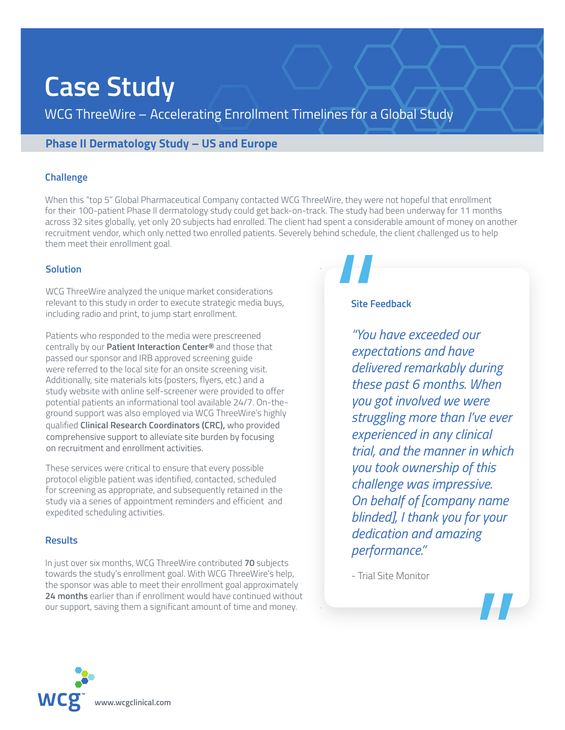# **Case Study**

WCG ThreeWire – Accelerating Enrollment Timelines for a Global Study

### **Phase II Dermatology Study – US and Europe**

#### **Challenge**

When this "top 5" Global Pharmaceutical Company contacted WCG ThreeWire, they were not hopeful that enrollment for their 100-patient Phase II dermatology study could get back-on-track. The study had been underway for 11 months across 32 sites globally, yet only 20 subjects had enrolled. The client had spent a considerable amount of money on another recruitment vendor, which only netted two enrolled patients. Severely behind schedule, the client challenged us to help them meet their enrollment goal.

#### **Solution**

WCG ThreeWire analyzed the unique market considerations relevant to this study in order to execute strategic media buys, including radio and print, to jump start enrollment.

Patients who responded to the media were prescreened centrally by our **Patient Interaction Center®** and those that passed our sponsor and IRB approved screening guide were referred to the local site for an onsite screening visit. Additionally, site materials kits (posters, flyers, etc.) and a study website with online self-screener were provided to offer potential patients an informational tool available 24/7. On-theground support was also employed via WCG ThreeWire's highly qualified **Clinical Research Coordinators (CRC),** who provided comprehensive support to alleviate site burden by focusing on recruitment and enrollment activities.

These services were critical to ensure that every possible protocol eligible patient was identified, contacted, scheduled for screening as appropriate, and subsequently retained in the study via a series of appointment reminders and efficient and expedited scheduling activities.

#### **Results**

In just over six months, WCG ThreeWire contributed **70** subjects towards the study's enrollment goal. With WCG ThreeWire's help, the sponsor was able to meet their enrollment goal approximately **24 months** earlier than if enrollment would have continued without our support, saving them a significant amount of time and money.

#### **Site Feedback**

performance." Consents *"You have exceeded our expectations and have delivered remarkably during these past 6 months. When you got involved we were struggling more than I've ever experienced in any clinical trial, and the manner in which you took ownership of this challenge was impressive. On behalf of [company name blinded], I thank you for your dedication and amazing* 

Appt - Trial Site Monitor